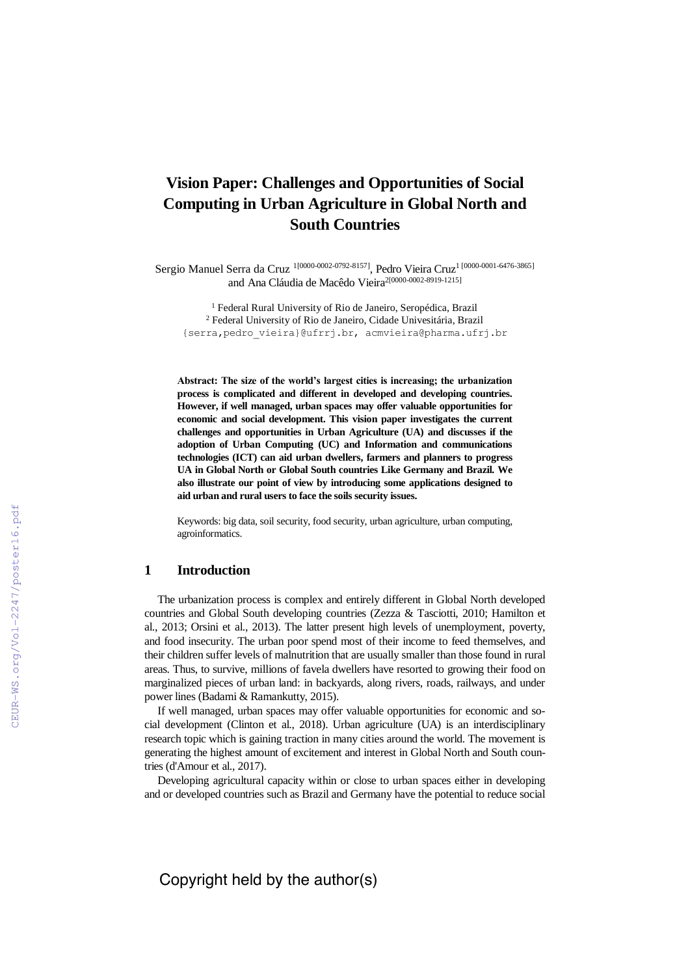# **Vision Paper: Challenges and Opportunities of Social Computing in Urban Agriculture in Global North and South Countries**

Sergio Manuel Serra da Cruz 1<sup>[0000-0002-0792-8157]</sup>, Pedro Vieira Cruz<sup>1 [0000-0001-6476-3865]</sup> and Ana Cláudia de Macêdo Vieira<sup>2[0000-0002-8919-1215]</sup>

<sup>1</sup> Federal Rural University of Rio de Janeiro, Seropédica, Brazil <sup>2</sup> Federal University of Rio de Janeiro, Cidade Univesitária, Brazil [{serra,pedro\\_vieira}@ufrrj.br,](mailto:serra,pedro_vieira%7D@ufrrj.br) ac[mvieira@pharma.ufrj.br](mailto:vieira@pharma.ufrj.br)

**Abstract: The size of the world's largest cities is increasing; the urbanization process is complicated and different in developed and developing countries. However, if well managed, urban spaces may offer valuable opportunities for economic and social development. This vision paper investigates the current challenges and opportunities in Urban Agriculture (UA) and discusses if the adoption of Urban Computing (UC) and Information and communications technologies (ICT) can aid urban dwellers, farmers and planners to progress UA in Global North or Global South countries Like Germany and Brazil. We also illustrate our point of view by introducing some applications designed to aid urban and rural users to face the soils security issues.**

Keywords: big data, soil security, food security, urban agriculture, urban computing, agroinformatics.

## **1 Introduction**

The urbanization process is complex and entirely different in Global North developed countries and Global South developing countries (Zezza & Tasciotti, 2010; Hamilton et al., 2013; Orsini et al., 2013). The latter present high levels of unemployment, poverty, and food insecurity. The urban poor spend most of their income to feed themselves, and their children suffer levels of malnutrition that are usually smaller than those found in rural areas. Thus, to survive, millions of favela dwellers have resorted to growing their food on marginalized pieces of urban land: in backyards, along rivers, roads, railways, and under power lines (Badami & Ramankutty, 2015).

If well managed, urban spaces may offer valuable opportunities for economic and social development (Clinton et al., 2018). Urban agriculture (UA) is an interdisciplinary research topic which is gaining traction in many cities around the world. The movement is generating the highest amount of excitement and interest in Global North and South countries (d'Amour et al., 2017).

Developing agricultural capacity within or close to urban spaces either in developing and or developed countries such as Brazil and Germany have the potential to reduce social

Copyright held by the author(s)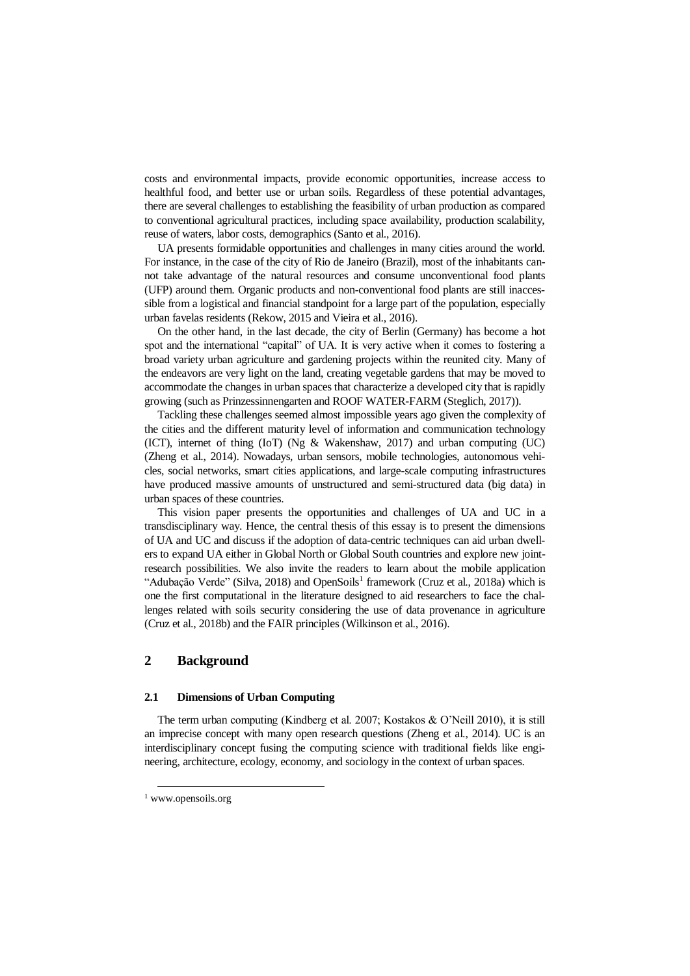costs and environmental impacts, provide economic opportunities, increase access to healthful food, and better use or urban soils. Regardless of these potential advantages, there are several challenges to establishing the feasibility of urban production as compared to conventional agricultural practices, including space availability, production scalability, reuse of waters, labor costs, demographics (Santo et al., 2016).

UA presents formidable opportunities and challenges in many cities around the world. For instance, in the case of the city of Rio de Janeiro (Brazil), most of the inhabitants cannot take advantage of the natural resources and consume unconventional food plants (UFP) around them. Organic products and non-conventional food plants are still inaccessible from a logistical and financial standpoint for a large part of the population, especially urban favelas residents (Rekow, 2015 and Vieira et al., 2016).

On the other hand, in the last decade, the city of Berlin (Germany) has become a hot spot and the international "capital" of UA. It is very active when it comes to fostering a broad variety urban agriculture and gardening projects within the reunited city. Many of the endeavors are very light on the land, creating vegetable gardens that may be moved to accommodate the changes in urban spaces that characterize a developed city that is rapidly growing (such as Prinzessinnengarten and ROOF WATER-FARM (Steglich, 2017)).

Tackling these challenges seemed almost impossible years ago given the complexity of the cities and the different maturity level of information and communication technology (ICT), internet of thing (IoT) (Ng & Wakenshaw, 2017) and urban computing (UC) (Zheng et al., 2014). Nowadays, urban sensors, mobile technologies, autonomous vehicles, social networks, smart cities applications, and large-scale computing infrastructures have produced massive amounts of unstructured and semi-structured data (big data) in urban spaces of these countries.

This vision paper presents the opportunities and challenges of UA and UC in a transdisciplinary way. Hence, the central thesis of this essay is to present the dimensions of UA and UC and discuss if the adoption of data-centric techniques can aid urban dwellers to expand UA either in Global North or Global South countries and explore new jointresearch possibilities. We also invite the readers to learn about the mobile application "Adubação Verde" (Silva, 2018) and OpenSoils<sup>1</sup> framework (Cruz et al., 2018a) which is one the first computational in the literature designed to aid researchers to face the challenges related with soils security considering the use of data provenance in agriculture (Cruz et al., 2018b) and the FAIR principles (Wilkinson et al., 2016).

# **2 Background**

#### **2.1 Dimensions of Urban Computing**

The term urban computing (Kindberg et al. 2007; Kostakos & O'Neill 2010), it is still an imprecise concept with many open research questions (Zheng et al., 2014). UC is an interdisciplinary concept fusing the computing science with traditional fields like engineering, architecture, ecology, economy, and sociology in the context of urban spaces.

l

<sup>1</sup> www.opensoils.org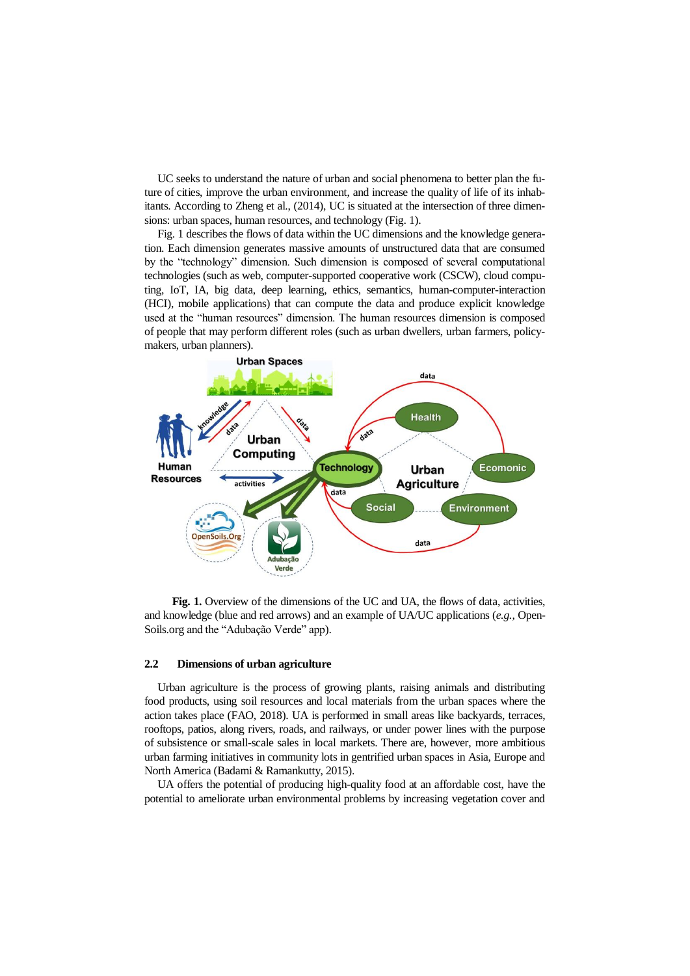UC seeks to understand the nature of urban and social phenomena to better plan the future of cities, improve the urban environment, and increase the quality of life of its inhabitants. According to Zheng et al., (2014), UC is situated at the intersection of three dimensions: urban spaces, human resources, and technology (Fig. 1).

Fig. 1 describes the flows of data within the UC dimensions and the knowledge generation. Each dimension generates massive amounts of unstructured data that are consumed by the "technology" dimension. Such dimension is composed of several computational technologies (such as web, computer-supported cooperative work (CSCW), cloud computing, IoT, IA, big data, deep learning, ethics, semantics, human-computer-interaction (HCI), mobile applications) that can compute the data and produce explicit knowledge used at the "human resources" dimension. The human resources dimension is composed of people that may perform different roles (such as urban dwellers, urban farmers, policymakers, urban planners).



**Fig. 1.** Overview of the dimensions of the UC and UA, the flows of data, activities, and knowledge (blue and red arrows) and an example of UA/UC applications (*e.g.,* Open-Soils.org and the "Adubação Verde" app).

#### **2.2 Dimensions of urban agriculture**

Urban agriculture is the process of growing plants, raising animals and distributing food products, using soil resources and local materials from the urban spaces where the action takes place (FAO, 2018). UA is performed in small areas like backyards, terraces, rooftops, patios, along rivers, roads, and railways, or under power lines with the purpose of subsistence or small-scale sales in local markets. There are, however, more ambitious urban farming initiatives in community lots in gentrified urban spaces in Asia, Europe and North America (Badami & Ramankutty, 2015).

UA offers the potential of producing high-quality food at an affordable cost, have the potential to ameliorate urban environmental problems by increasing vegetation cover and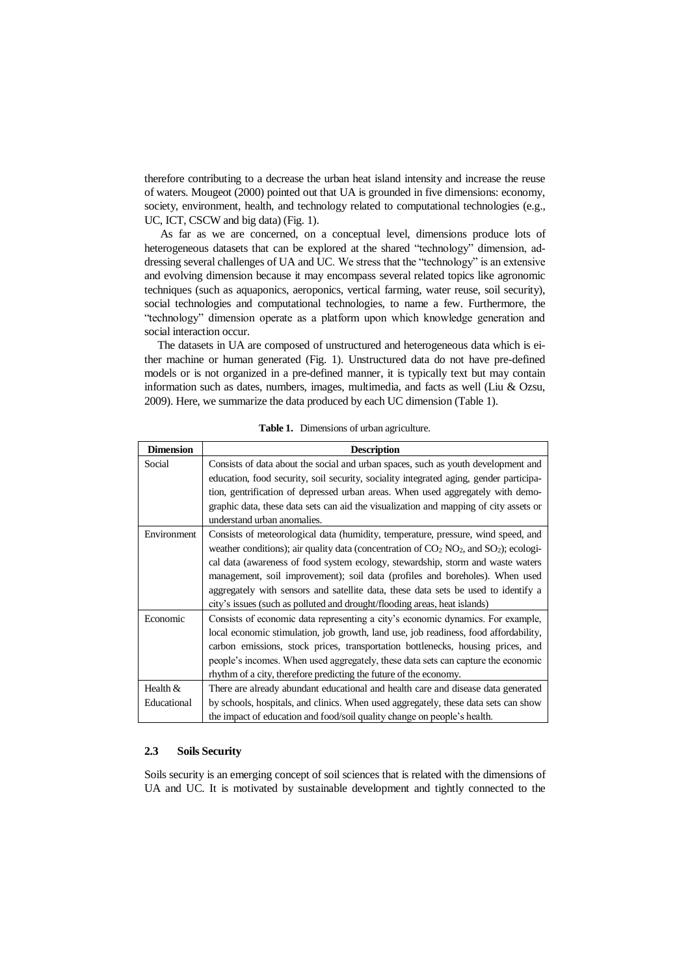therefore contributing to a decrease the urban heat island intensity and increase the reuse of waters. Mougeot (2000) pointed out that UA is grounded in five dimensions: economy, society, environment, health, and technology related to computational technologies (e.g., UC, ICT, CSCW and big data) (Fig. 1).

As far as we are concerned, on a conceptual level, dimensions produce lots of heterogeneous datasets that can be explored at the shared "technology" dimension, addressing several challenges of UA and UC. We stress that the "technology" is an extensive and evolving dimension because it may encompass several related topics like agronomic techniques (such as aquaponics, aeroponics, vertical farming, water reuse, soil security), social technologies and computational technologies, to name a few. Furthermore, the "technology" dimension operate as a platform upon which knowledge generation and social interaction occur.

The datasets in UA are composed of unstructured and heterogeneous data which is either machine or human generated (Fig. 1). Unstructured data do not have pre-defined models or is not organized in a pre-defined manner, it is typically text but may contain information such as dates, numbers, images, multimedia, and facts as well (Liu & Ozsu, 2009). Here, we summarize the data produced by each UC dimension (Table 1).

| <b>Dimension</b> | <b>Description</b>                                                                                               |  |  |
|------------------|------------------------------------------------------------------------------------------------------------------|--|--|
| Social           | Consists of data about the social and urban spaces, such as youth development and                                |  |  |
|                  | education, food security, soil security, sociality integrated aging, gender participa-                           |  |  |
|                  | tion, gentrification of depressed urban areas. When used aggregately with demo-                                  |  |  |
|                  | graphic data, these data sets can aid the visualization and mapping of city assets or                            |  |  |
|                  | understand urban anomalies.                                                                                      |  |  |
| Environment      | Consists of meteorological data (humidity, temperature, pressure, wind speed, and                                |  |  |
|                  | weather conditions); air quality data (concentration of $CO_2$ NO <sub>2</sub> , and SO <sub>2</sub> ); ecologi- |  |  |
|                  | cal data (awareness of food system ecology, stewardship, storm and waste waters                                  |  |  |
|                  | management, soil improvement); soil data (profiles and boreholes). When used                                     |  |  |
|                  | aggregately with sensors and satellite data, these data sets be used to identify a                               |  |  |
|                  | city's issues (such as polluted and drought/flooding areas, heat islands)                                        |  |  |
| Economic         | Consists of economic data representing a city's economic dynamics. For example,                                  |  |  |
|                  | local economic stimulation, job growth, land use, job readiness, food affordability,                             |  |  |
|                  | carbon emissions, stock prices, transportation bottlenecks, housing prices, and                                  |  |  |
|                  | people's incomes. When used aggregately, these data sets can capture the economic                                |  |  |
|                  | rhythm of a city, therefore predicting the future of the economy.                                                |  |  |
| Health $&$       | There are already abundant educational and health care and disease data generated                                |  |  |
| Educational      | by schools, hospitals, and clinics. When used aggregately, these data sets can show                              |  |  |
|                  | the impact of education and food/soil quality change on people's health.                                         |  |  |

**Table 1.** Dimensions of urban agriculture.

#### **2.3 Soils Security**

Soils security is an emerging concept of soil sciences that is related with the dimensions of UA and UC. It is motivated by sustainable development and tightly connected to the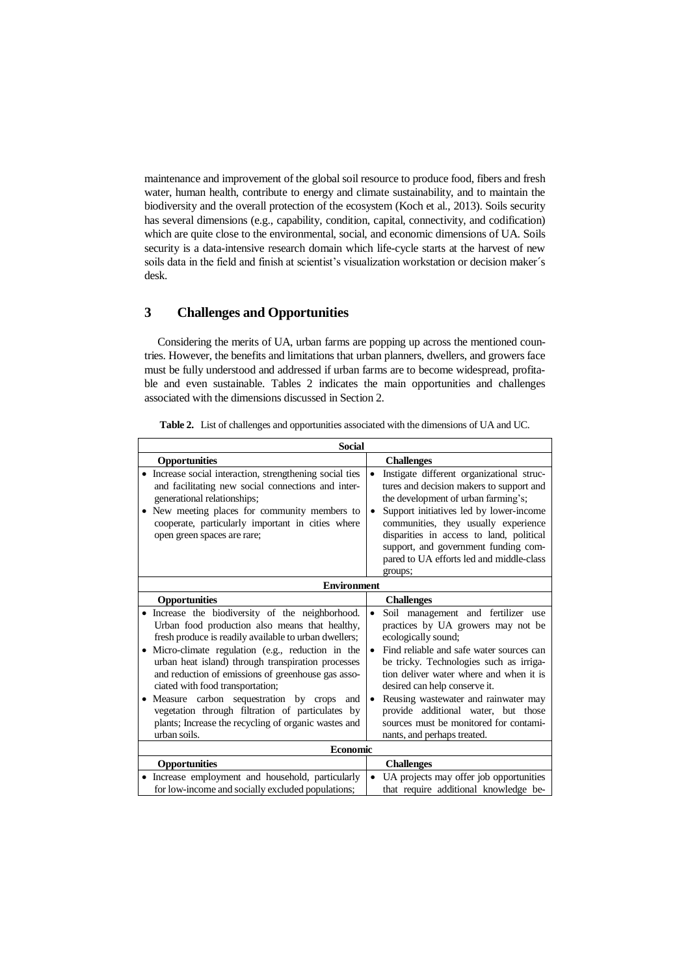maintenance and improvement of the global soil resource to produce food, fibers and fresh water, human health, contribute to energy and climate sustainability, and to maintain the biodiversity and the overall protection of the ecosystem (Koch et al., 2013). Soils security has several dimensions (e.g., capability, condition, capital, connectivity, and codification) which are quite close to the environmental, social, and economic dimensions of UA. Soils security is a data-intensive research domain which life-cycle starts at the harvest of new soils data in the field and finish at scientist's visualization workstation or decision maker´s desk.

# **3 Challenges and Opportunities**

Considering the merits of UA, urban farms are popping up across the mentioned countries. However, the benefits and limitations that urban planners, dwellers, and growers face must be fully understood and addressed if urban farms are to become widespread, profitable and even sustainable. Tables 2 indicates the main opportunities and challenges associated with the dimensions discussed in Section 2.

| <b>Social</b>                                                                                                                                                                                                                                                                                                                                                                                                                                                                                                                                                                    |                                                                                                                                                                                                                                                                                                                                                                                                                                                                   |  |  |
|----------------------------------------------------------------------------------------------------------------------------------------------------------------------------------------------------------------------------------------------------------------------------------------------------------------------------------------------------------------------------------------------------------------------------------------------------------------------------------------------------------------------------------------------------------------------------------|-------------------------------------------------------------------------------------------------------------------------------------------------------------------------------------------------------------------------------------------------------------------------------------------------------------------------------------------------------------------------------------------------------------------------------------------------------------------|--|--|
| <b>Opportunities</b>                                                                                                                                                                                                                                                                                                                                                                                                                                                                                                                                                             | <b>Challenges</b>                                                                                                                                                                                                                                                                                                                                                                                                                                                 |  |  |
| Increase social interaction, strengthening social ties<br>and facilitating new social connections and inter-<br>generational relationships;<br>New meeting places for community members to<br>cooperate, particularly important in cities where<br>open green spaces are rare;                                                                                                                                                                                                                                                                                                   | Instigate different organizational struc-<br>$\bullet$<br>tures and decision makers to support and<br>the development of urban farming's;<br>Support initiatives led by lower-income<br>$\bullet$<br>communities, they usually experience<br>disparities in access to land, political<br>support, and government funding com-<br>pared to UA efforts led and middle-class<br>groups;                                                                              |  |  |
| <b>Environment</b>                                                                                                                                                                                                                                                                                                                                                                                                                                                                                                                                                               |                                                                                                                                                                                                                                                                                                                                                                                                                                                                   |  |  |
| <b>Opportunities</b>                                                                                                                                                                                                                                                                                                                                                                                                                                                                                                                                                             | <b>Challenges</b>                                                                                                                                                                                                                                                                                                                                                                                                                                                 |  |  |
| Increase the biodiversity of the neighborhood.<br>$\bullet$<br>Urban food production also means that healthy,<br>fresh produce is readily available to urban dwellers;<br>Micro-climate regulation (e.g., reduction in the<br>$\bullet$<br>urban heat island) through transpiration processes<br>and reduction of emissions of greenhouse gas asso-<br>ciated with food transportation;<br>Measure carbon sequestration by crops<br>and<br>$\bullet$<br>vegetation through filtration of particulates by<br>plants; Increase the recycling of organic wastes and<br>urban soils. | Soil management and fertilizer use<br>$\bullet$<br>practices by UA growers may not be<br>ecologically sound;<br>Find reliable and safe water sources can<br>$\bullet$<br>be tricky. Technologies such as irriga-<br>tion deliver water where and when it is<br>desired can help conserve it.<br>Reusing wastewater and rainwater may<br>$\bullet$<br>provide additional water, but those<br>sources must be monitored for contami-<br>nants, and perhaps treated. |  |  |
| Economic                                                                                                                                                                                                                                                                                                                                                                                                                                                                                                                                                                         |                                                                                                                                                                                                                                                                                                                                                                                                                                                                   |  |  |
| <b>Opportunities</b>                                                                                                                                                                                                                                                                                                                                                                                                                                                                                                                                                             | <b>Challenges</b>                                                                                                                                                                                                                                                                                                                                                                                                                                                 |  |  |
| Increase employment and household, particularly<br>for low-income and socially excluded populations;                                                                                                                                                                                                                                                                                                                                                                                                                                                                             | UA projects may offer job opportunities<br>$\bullet$<br>that require additional knowledge be-                                                                                                                                                                                                                                                                                                                                                                     |  |  |

**Table 2.** List of challenges and opportunities associated with the dimensions of UA and UC.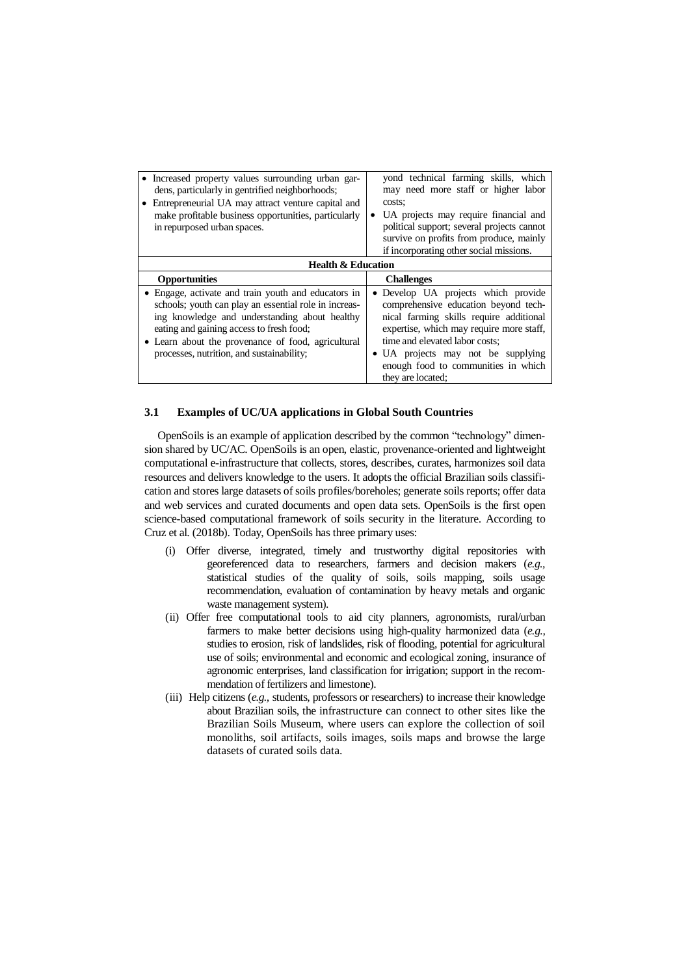| Increased property values surrounding urban gar-<br>dens, particularly in gentrified neighborhoods;<br>Entrepreneurial UA may attract venture capital and<br>make profitable business opportunities, particularly<br>in repurposed urban spaces.                                                           | yond technical farming skills, which<br>may need more staff or higher labor<br>costs:<br>UA projects may require financial and<br>$\bullet$<br>political support; several projects cannot<br>survive on profits from produce, mainly<br>if incorporating other social missions.                        |  |  |
|------------------------------------------------------------------------------------------------------------------------------------------------------------------------------------------------------------------------------------------------------------------------------------------------------------|--------------------------------------------------------------------------------------------------------------------------------------------------------------------------------------------------------------------------------------------------------------------------------------------------------|--|--|
| <b>Health &amp; Education</b>                                                                                                                                                                                                                                                                              |                                                                                                                                                                                                                                                                                                        |  |  |
| <b>Opportunities</b>                                                                                                                                                                                                                                                                                       | <b>Challenges</b>                                                                                                                                                                                                                                                                                      |  |  |
| Engage, activate and train youth and educators in<br>schools; youth can play an essential role in increas-<br>ing knowledge and understanding about healthy<br>eating and gaining access to fresh food;<br>• Learn about the provenance of food, agricultural<br>processes, nutrition, and sustainability; | • Develop UA projects which provide<br>comprehensive education beyond tech-<br>nical farming skills require additional<br>expertise, which may require more staff,<br>time and elevated labor costs;<br>• UA projects may not be supplying<br>enough food to communities in which<br>they are located: |  |  |

### **3.1 Examples of UC/UA applications in Global South Countries**

OpenSoils is an example of application described by the common "technology" dimension shared by UC/AC. OpenSoils is an open, elastic, provenance-oriented and lightweight computational e-infrastructure that collects, stores, describes, curates, harmonizes soil data resources and delivers knowledge to the users. It adopts the official Brazilian soils classification and stores large datasets of soils profiles/boreholes; generate soils reports; offer data and web services and curated documents and open data sets. OpenSoils is the first open science-based computational framework of soils security in the literature. According to Cruz et al. (2018b). Today, OpenSoils has three primary uses:

- (i) Offer diverse, integrated, timely and trustworthy digital repositories with georeferenced data to researchers, farmers and decision makers (*e.g.,* statistical studies of the quality of soils, soils mapping, soils usage recommendation, evaluation of contamination by heavy metals and organic waste management system).
- (ii) Offer free computational tools to aid city planners, agronomists, rural/urban farmers to make better decisions using high-quality harmonized data (*e.g.,* studies to erosion, risk of landslides, risk of flooding, potential for agricultural use of soils; environmental and economic and ecological zoning, insurance of agronomic enterprises, land classification for irrigation; support in the recommendation of fertilizers and limestone).
- (iii) Help citizens (*e.g.,* students, professors or researchers) to increase their knowledge about Brazilian soils, the infrastructure can connect to other sites like the Brazilian Soils Museum, where users can explore the collection of soil monoliths, soil artifacts, soils images, soils maps and browse the large datasets of curated soils data.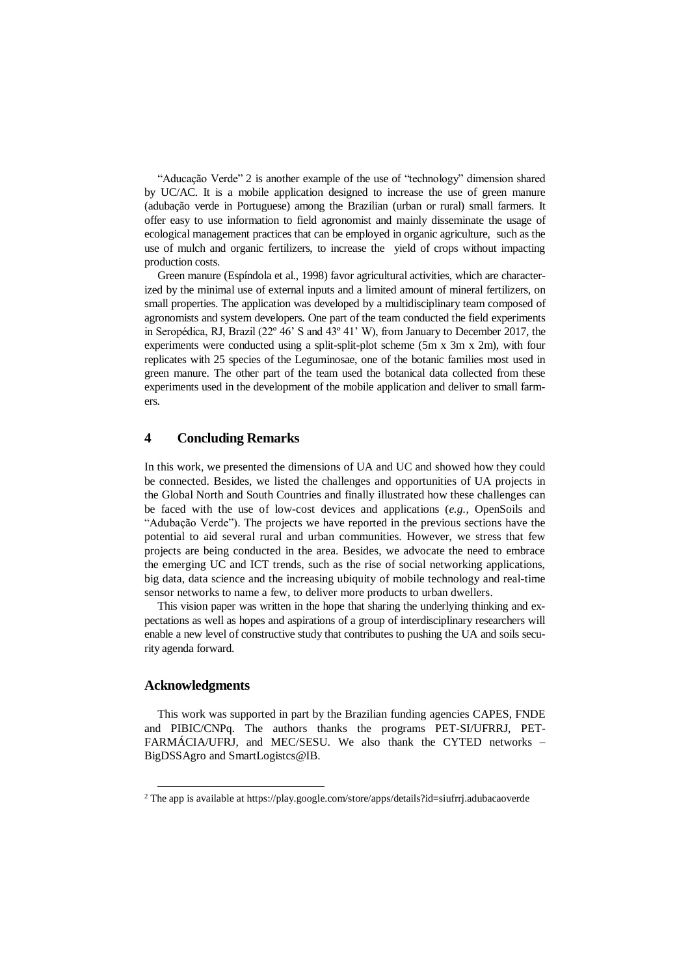"Aducação Verde" 2 is another example of the use of "technology" dimension shared by UC/AC. It is a mobile application designed to increase the use of green manure (adubação verde in Portuguese) among the Brazilian (urban or rural) small farmers. It offer easy to use information to field agronomist and mainly disseminate the usage of ecological management practices that can be employed in organic agriculture, such as the use of mulch and organic fertilizers, to increase the yield of crops without impacting production costs.

Green manure (Espíndola et al., 1998) favor agricultural activities, which are characterized by the minimal use of external inputs and a limited amount of mineral fertilizers, on small properties. The application was developed by a multidisciplinary team composed of agronomists and system developers. One part of the team conducted the field experiments in Seropédica, RJ, Brazil (22º 46' S and 43º 41' W), from January to December 2017, the experiments were conducted using a split-split-plot scheme (5m x 3m x 2m), with four replicates with 25 species of the Leguminosae, one of the botanic families most used in green manure. The other part of the team used the botanical data collected from these experiments used in the development of the mobile application and deliver to small farmers.

# **4 Concluding Remarks**

In this work, we presented the dimensions of UA and UC and showed how they could be connected. Besides, we listed the challenges and opportunities of UA projects in the Global North and South Countries and finally illustrated how these challenges can be faced with the use of low-cost devices and applications (*e.g.,* OpenSoils and "Adubação Verde"). The projects we have reported in the previous sections have the potential to aid several rural and urban communities. However, we stress that few projects are being conducted in the area. Besides, we advocate the need to embrace the emerging UC and ICT trends, such as the rise of social networking applications, big data, data science and the increasing ubiquity of mobile technology and real-time sensor networks to name a few, to deliver more products to urban dwellers.

This vision paper was written in the hope that sharing the underlying thinking and expectations as well as hopes and aspirations of a group of interdisciplinary researchers will enable a new level of constructive study that contributes to pushing the UA and soils security agenda forward.

### **Acknowledgments**

l

This work was supported in part by the Brazilian funding agencies CAPES, FNDE and PIBIC/CNPq. The authors thanks the programs PET-SI/UFRRJ, PET-FARMÁCIA/UFRJ, and MEC/SESU. We also thank the CYTED networks – BigDSSAgro and SmartLogistcs@IB.

<sup>2</sup> The app is available at https://play.google.com/store/apps/details?id=siufrrj.adubacaoverde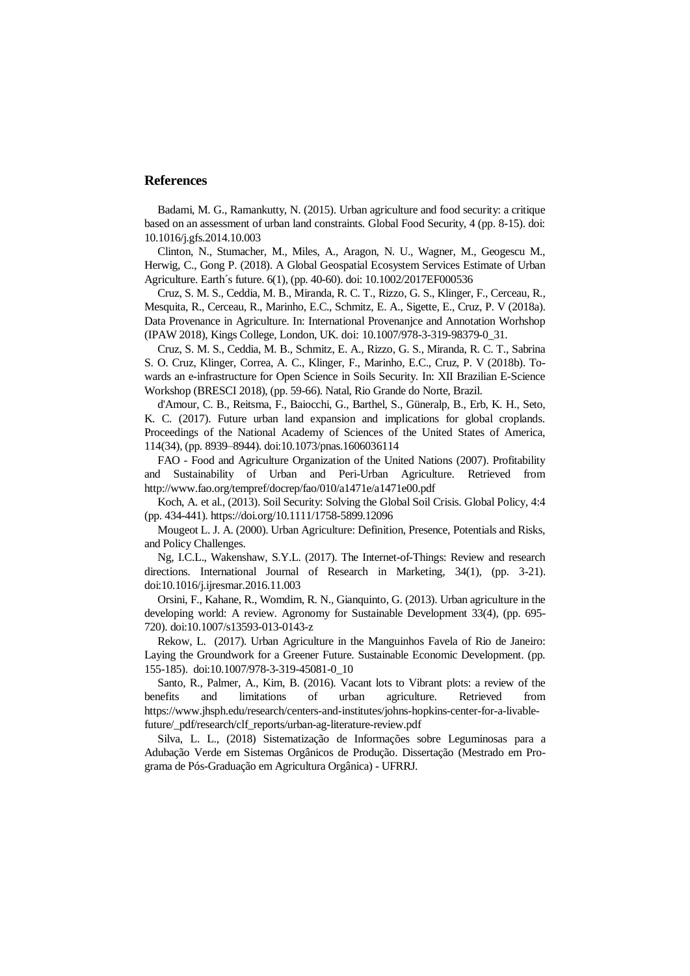### **References**

Badami, M. G., Ramankutty, N. (2015). Urban agriculture and food security: a critique based on an assessment of urban land constraints. Global Food Security, 4 (pp. 8-15). doi: 10.1016/j.gfs.2014.10.003

Clinton, N., Stumacher, M., Miles, A., Aragon, N. U., Wagner, M., Geogescu M., Herwig, C., Gong P. (2018). A Global Geospatial Ecosystem Services Estimate of Urban Agriculture. Earth´s future. 6(1), (pp. 40-60). doi: 10.1002/2017EF000536

Cruz, S. M. S., Ceddia, M. B., Miranda, R. C. T., Rizzo, G. S., Klinger, F., Cerceau, R., Mesquita, R., Cerceau, R., Marinho, E.C., Schmitz, E. A., Sigette, E., Cruz, P. V (2018a). Data Provenance in Agriculture. In: International Provenanjce and Annotation Worhshop (IPAW 2018), Kings College, London, UK. doi: 10.1007/978-3-319-98379-0\_31.

Cruz, S. M. S., Ceddia, M. B., Schmitz, E. A., Rizzo, G. S., Miranda, R. C. T., Sabrina S. O. Cruz, Klinger, Correa, A. C., Klinger, F., Marinho, E.C., Cruz, P. V (2018b). Towards an e-infrastructure for Open Science in Soils Security. In: XII Brazilian E-Science Workshop (BRESCI 2018), (pp. 59-66). Natal, Rio Grande do Norte, Brazil.

d'Amour, C. B., Reitsma, F., Baiocchi, G., Barthel, S., Güneralp, B., Erb, K. H., Seto, K. C. (2017). Future urban land expansion and implications for global croplands. Proceedings of the National Academy of Sciences of the United States of America, 114(34), (pp. 8939–8944). doi:10.1073/pnas.1606036114

FAO - Food and Agriculture Organization of the United Nations (2007). Profitability and Sustainability of Urban and Peri-Urban Agriculture. Retrieved from http://www.fao.org/tempref/docrep/fao/010/a1471e/a1471e00.pdf

Koch, A. et al., (2013). Soil Security: Solving the Global Soil Crisis. Global Policy, 4:4 (pp. 434-441). https://doi.org/10.1111/1758-5899.12096

Mougeot L. J. A. (2000). Urban Agriculture: Definition, Presence, Potentials and Risks, and Policy Challenges.

Ng, I.C.L., Wakenshaw, S.Y.L. (2017). The Internet-of-Things: Review and research directions. International Journal of Research in Marketing, 34(1), (pp. 3-21). doi:10.1016/j.ijresmar.2016.11.003

Orsini, F., Kahane, R., Womdim, R. N., Gianquinto, G. (2013). Urban agriculture in the developing world: A review. Agronomy for Sustainable Development 33(4), (pp. 695- 720). doi:10.1007/s13593-013-0143-z

Rekow, L. (2017). Urban Agriculture in the Manguinhos Favela of Rio de Janeiro: Laying the Groundwork for a Greener Future. Sustainable Economic Development. (pp. 155-185). doi:10.1007/978-3-319-45081-0\_10

Santo, R., Palmer, A., Kim, B. (2016). Vacant lots to Vibrant plots: a review of the benefits and limitations of urban agriculture. Retrieved from https://www.jhsph.edu/research/centers-and-institutes/johns-hopkins-center-for-a-livablefuture/\_pdf/research/clf\_reports/urban-ag-literature-review.pdf

Silva, L. L., (2018) Sistematização de Informações sobre Leguminosas para a Adubação Verde em Sistemas Orgânicos de Produção. Dissertação (Mestrado em Programa de Pós-Graduação em Agricultura Orgânica) - UFRRJ.